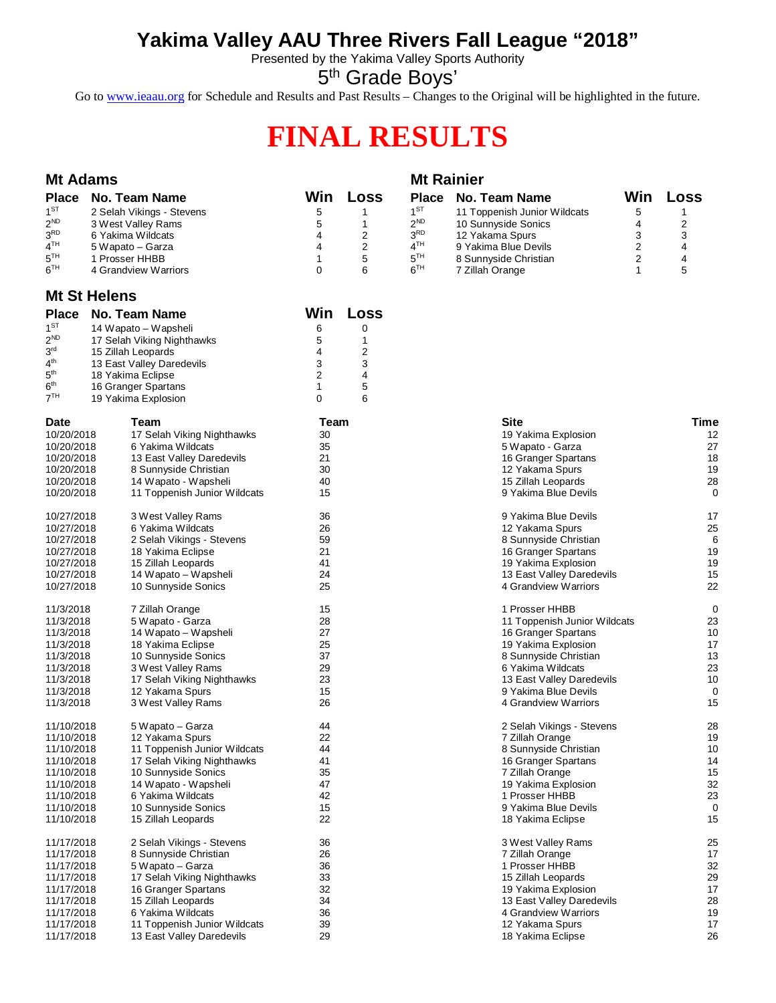## **Yakima Valley AAU Three Rivers Fall League "2018"**

Presented by the Yakima Valley Sports Authority

5<sup>th</sup> Grade Boys'

Go to [www.ieaau.org](http://www.ieaau.org) for Schedule and Results and Past Results – Changes to the Original will be highlighted in the future.

# **FINAL RESULTS**

| <b>Mt Adams</b>                    |                     |                                          |          |                         | <b>Mt Rainier</b> |                                              |     |             |
|------------------------------------|---------------------|------------------------------------------|----------|-------------------------|-------------------|----------------------------------------------|-----|-------------|
| <b>Place</b>                       |                     | No. Team Name                            | Win      | Loss                    | <b>Place</b>      | No. Team Name                                | Win | <b>Loss</b> |
| $1^{ST}$                           |                     | 2 Selah Vikings - Stevens                | 5        | 1                       | $1^{ST}$          | 11 Toppenish Junior Wildcats                 | 5   | 1           |
| $2^{ND}$                           |                     | 3 West Valley Rams                       | 5        | $\mathbf{1}$            | $2^{ND}$          | 10 Sunnyside Sonics                          | 4   | 2           |
| 3 <sup>RD</sup>                    |                     | 6 Yakima Wildcats                        | 4        | 2                       | 3 <sup>RD</sup>   | 12 Yakama Spurs                              | 3   | 3           |
| $4^{\textsf{TH}}$                  |                     | 5 Wapato – Garza                         | 4        | 2                       | 4 <sup>TH</sup>   | 9 Yakima Blue Devils                         | 2   | 4           |
| 5 <sup>TH</sup>                    |                     | 1 Prosser HHBB                           | 1        | 5                       | 5 <sup>TH</sup>   | 8 Sunnyside Christian                        | 2   | 4           |
| $6^{TH}$                           |                     | 4 Grandview Warriors                     | $\Omega$ | 6                       | 6 <sup>TH</sup>   | 7 Zillah Orange                              | 1   | 5           |
|                                    | <b>Mt St Helens</b> |                                          |          |                         |                   |                                              |     |             |
| <b>Place</b>                       |                     | <b>No. Team Name</b>                     | Win      | Loss                    |                   |                                              |     |             |
| $1^{ST}$                           |                     | 14 Wapato – Wapsheli                     | 6        | 0                       |                   |                                              |     |             |
| $2^{ND}$                           |                     | 17 Selah Viking Nighthawks               | 5        | 1                       |                   |                                              |     |             |
| 3 <sup>rd</sup>                    |                     | 15 Zillah Leopards                       | 4        | $\overline{\mathbf{c}}$ |                   |                                              |     |             |
| 4 <sup>th</sup>                    |                     | 13 East Valley Daredevils                | 3        | 3                       |                   |                                              |     |             |
| 5 <sup>th</sup>                    |                     | 18 Yakima Eclipse                        | 2        | 4                       |                   |                                              |     |             |
| 6 <sup>th</sup><br>7 <sup>TH</sup> |                     | 16 Granger Spartans                      | 1        | 5                       |                   |                                              |     |             |
|                                    |                     | 19 Yakima Explosion                      | 0        | 6                       |                   |                                              |     |             |
| Date                               |                     | Team                                     | Team     |                         |                   | <b>Site</b>                                  |     | <b>Time</b> |
| 10/20/2018                         |                     | 17 Selah Viking Nighthawks               | 30       |                         |                   | 19 Yakima Explosion                          |     | 12          |
| 10/20/2018                         |                     | 6 Yakima Wildcats                        | 35       |                         |                   | 5 Wapato - Garza                             |     | 27          |
| 10/20/2018                         |                     | 13 East Valley Daredevils                | 21       |                         |                   | 16 Granger Spartans                          |     | 18          |
| 10/20/2018                         |                     | 8 Sunnyside Christian                    | 30       |                         |                   | 12 Yakama Spurs                              |     | 19<br>28    |
| 10/20/2018                         |                     | 14 Wapato - Wapsheli                     | 40<br>15 |                         |                   | 15 Zillah Leopards<br>9 Yakima Blue Devils   |     | 0           |
| 10/20/2018                         |                     | 11 Toppenish Junior Wildcats             |          |                         |                   |                                              |     |             |
| 10/27/2018                         |                     | 3 West Valley Rams                       | 36       |                         |                   | 9 Yakima Blue Devils                         |     | 17          |
| 10/27/2018                         |                     | 6 Yakima Wildcats                        | 26       |                         |                   | 12 Yakama Spurs                              |     | 25          |
| 10/27/2018                         |                     | 2 Selah Vikings - Stevens                | 59       |                         |                   | 8 Sunnyside Christian                        |     | 6           |
| 10/27/2018                         |                     | 18 Yakima Eclipse                        | 21       |                         |                   | 16 Granger Spartans                          |     | 19          |
| 10/27/2018                         |                     | 15 Zillah Leopards                       | 41       |                         |                   | 19 Yakima Explosion                          |     | 19          |
| 10/27/2018                         |                     | 14 Wapato – Wapsheli                     | 24       |                         |                   | 13 East Valley Daredevils                    |     | 15          |
| 10/27/2018                         |                     | 10 Sunnyside Sonics                      | 25       |                         |                   | 4 Grandview Warriors                         |     | 22          |
| 11/3/2018                          |                     | 7 Zillah Orange                          | 15       |                         |                   | 1 Prosser HHBB                               |     | 0           |
| 11/3/2018                          |                     | 5 Wapato - Garza                         | 28       |                         |                   | 11 Toppenish Junior Wildcats                 |     | 23          |
| 11/3/2018                          |                     | 14 Wapato – Wapsheli                     | 27       |                         |                   | 16 Granger Spartans                          |     | 10          |
| 11/3/2018<br>11/3/2018             |                     | 18 Yakima Eclipse<br>10 Sunnyside Sonics | 25<br>37 |                         |                   | 19 Yakima Explosion<br>8 Sunnyside Christian |     | 17<br>13    |
| 11/3/2018                          |                     | 3 West Valley Rams                       | 29       |                         |                   | 6 Yakima Wildcats                            |     | 23          |
| 11/3/2018                          |                     | 17 Selah Viking Nighthawks               | 23       |                         |                   | 13 East Valley Daredevils                    |     | 10          |
| 11/3/2018                          |                     | 12 Yakama Spurs                          | 15       |                         |                   | 9 Yakima Blue Devils                         |     | 0           |
| 11/3/2018                          |                     | 3 West Valley Rams                       | 26       |                         |                   | 4 Grandview Warriors                         |     | 15          |
| 11/10/2018                         |                     | 5 Wapato – Garza                         | 44       |                         |                   | 2 Selah Vikings - Stevens                    |     | 28          |
| 11/10/2018                         |                     | 12 Yakama Spurs                          | 22       |                         |                   | 7 Zillah Orange                              |     | 19          |
| 11/10/2018                         |                     | 11 Toppenish Junior Wildcats             | 44       |                         |                   | 8 Sunnyside Christian                        |     | 10          |
| 11/10/2018                         |                     | 17 Selah Viking Nighthawks               | 41       |                         |                   | 16 Granger Spartans                          |     | 14          |
| 11/10/2018                         |                     | 10 Sunnyside Sonics                      | 35       |                         |                   | 7 Zillah Orange                              |     | 15          |
| 11/10/2018                         |                     | 14 Wapato - Wapsheli                     | 47       |                         |                   | 19 Yakima Explosion                          |     | 32          |
| 11/10/2018                         |                     | 6 Yakima Wildcats                        | 42       |                         |                   | 1 Prosser HHBB                               |     | 23          |
| 11/10/2018                         |                     | 10 Sunnyside Sonics                      | 15       |                         |                   | 9 Yakima Blue Devils                         |     | 0           |
| 11/10/2018                         |                     | 15 Zillah Leopards                       | 22       |                         |                   | 18 Yakima Eclipse                            |     | 15          |
| 11/17/2018                         |                     | 2 Selah Vikings - Stevens                | 36       |                         |                   | 3 West Valley Rams                           |     | 25          |
| 11/17/2018                         |                     | 8 Sunnyside Christian                    | 26       |                         |                   | 7 Zillah Orange                              |     | 17          |
| 11/17/2018                         |                     | 5 Wapato – Garza                         | 36       |                         |                   | 1 Prosser HHBB                               |     | 32          |
| 11/17/2018                         |                     | 17 Selah Viking Nighthawks               | 33       |                         |                   | 15 Zillah Leopards                           |     | 29          |
| 11/17/2018                         |                     | 16 Granger Spartans                      | 32       |                         |                   | 19 Yakima Explosion                          |     | 17          |
| 11/17/2018                         |                     | 15 Zillah Leopards                       | 34       |                         |                   | 13 East Valley Daredevils                    |     | 28          |
| 11/17/2018                         |                     | 6 Yakima Wildcats                        | 36       |                         |                   | 4 Grandview Warriors                         |     | 19          |
| 11/17/2018                         |                     | 11 Toppenish Junior Wildcats             | 39<br>29 |                         |                   | 12 Yakama Spurs                              |     | 17<br>26    |
| 11/17/2018                         |                     | 13 East Valley Daredevils                |          |                         |                   | 18 Yakima Eclipse                            |     |             |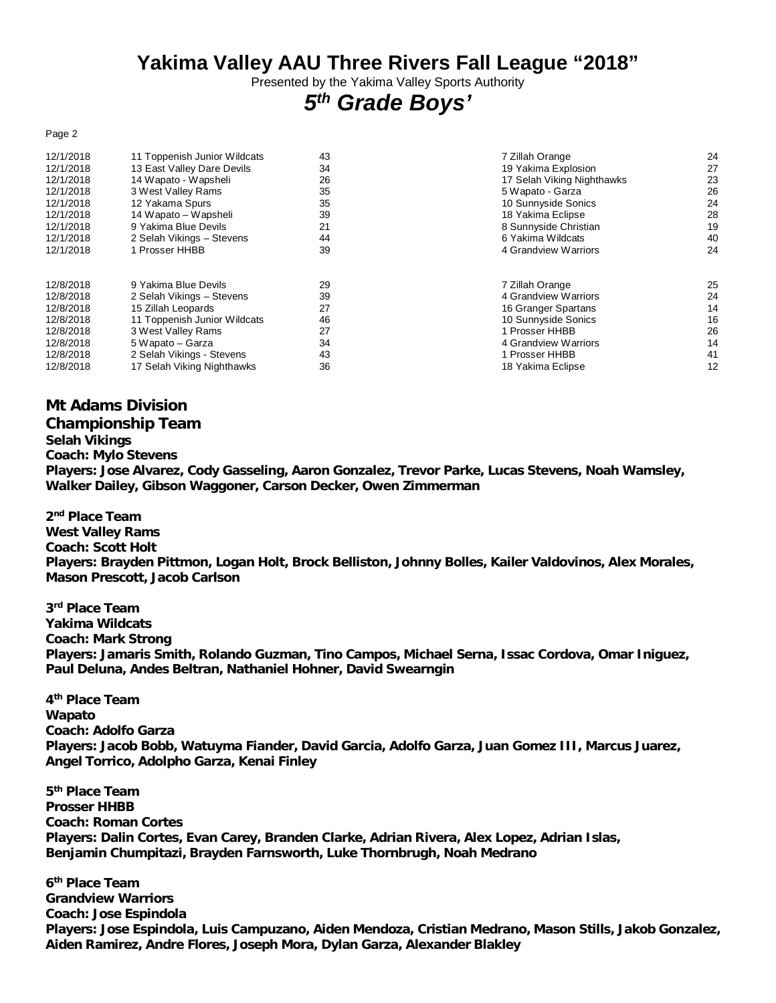### **Yakima Valley AAU Three Rivers Fall League "2018"**

Presented by the Yakima Valley Sports Authority

# *5 th Grade Boys'*

#### Page 2

| 12/1/2018 | 11 Toppenish Junior Wildcats | 43 | 7 Zillah Orange            | 24 |
|-----------|------------------------------|----|----------------------------|----|
| 12/1/2018 | 13 East Valley Dare Devils   | 34 | 19 Yakima Explosion        | 27 |
| 12/1/2018 | 14 Wapato - Wapsheli         | 26 | 17 Selah Viking Nighthawks | 23 |
| 12/1/2018 | 3 West Valley Rams           | 35 | 5 Wapato - Garza           | 26 |
| 12/1/2018 | 12 Yakama Spurs              | 35 | 10 Sunnyside Sonics        | 24 |
| 12/1/2018 | 14 Wapato – Wapsheli         | 39 | 18 Yakima Eclipse          | 28 |
| 12/1/2018 | 9 Yakima Blue Devils         | 21 | 8 Sunnyside Christian      | 19 |
| 12/1/2018 | 2 Selah Vikings - Stevens    | 44 | 6 Yakima Wildcats          | 40 |
| 12/1/2018 | 1 Prosser HHBB               | 39 | 4 Grandview Warriors       | 24 |
| 12/8/2018 | 9 Yakima Blue Devils         | 29 | 7 Zillah Orange            | 25 |
| 12/8/2018 | 2 Selah Vikings - Stevens    | 39 | 4 Grandview Warriors       | 24 |
| 12/8/2018 | 15 Zillah Leopards           | 27 | 16 Granger Spartans        | 14 |
| 12/8/2018 | 11 Toppenish Junior Wildcats | 46 | 10 Sunnyside Sonics        | 16 |
| 12/8/2018 | 3 West Valley Rams           | 27 | 1 Prosser HHBB             | 26 |
| 12/8/2018 | 5 Wapato – Garza             | 34 | 4 Grandview Warriors       | 14 |
| 12/8/2018 | 2 Selah Vikings - Stevens    | 43 | 1 Prosser HHBB             | 41 |
| 12/8/2018 | 17 Selah Viking Nighthawks   | 36 | 18 Yakima Eclipse          | 12 |

#### **Mt Adams Division**

#### **Championship Team**

**Selah Vikings**

**Coach: Mylo Stevens**

**Players: Jose Alvarez, Cody Gasseling, Aaron Gonzalez, Trevor Parke, Lucas Stevens, Noah Wamsley, Walker Dailey, Gibson Waggoner, Carson Decker, Owen Zimmerman**

**2 nd Place Team West Valley Rams Coach: Scott Holt Players: Brayden Pittmon, Logan Holt, Brock Belliston, Johnny Bolles, Kailer Valdovinos, Alex Morales, Mason Prescott, Jacob Carlson**

**3 rd Place Team Yakima Wildcats Coach: Mark Strong Players: Jamaris Smith, Rolando Guzman, Tino Campos, Michael Serna, Issac Cordova, Omar Iniguez, Paul Deluna, Andes Beltran, Nathaniel Hohner, David Swearngin**

**4 th Place Team Wapato Coach: Adolfo Garza Players: Jacob Bobb, Watuyma Fiander, David Garcia, Adolfo Garza, Juan Gomez III, Marcus Juarez, Angel Torrico, Adolpho Garza, Kenai Finley**

**5 th Place Team Prosser HHBB Coach: Roman Cortes Players: Dalin Cortes, Evan Carey, Branden Clarke, Adrian Rivera, Alex Lopez, Adrian Islas, Benjamin Chumpitazi, Brayden Farnsworth, Luke Thornbrugh, Noah Medrano**

**6 th Place Team Grandview Warriors Coach: Jose Espindola Players: Jose Espindola, Luis Campuzano, Aiden Mendoza, Cristian Medrano, Mason Stills, Jakob Gonzalez, Aiden Ramirez, Andre Flores, Joseph Mora, Dylan Garza, Alexander Blakley**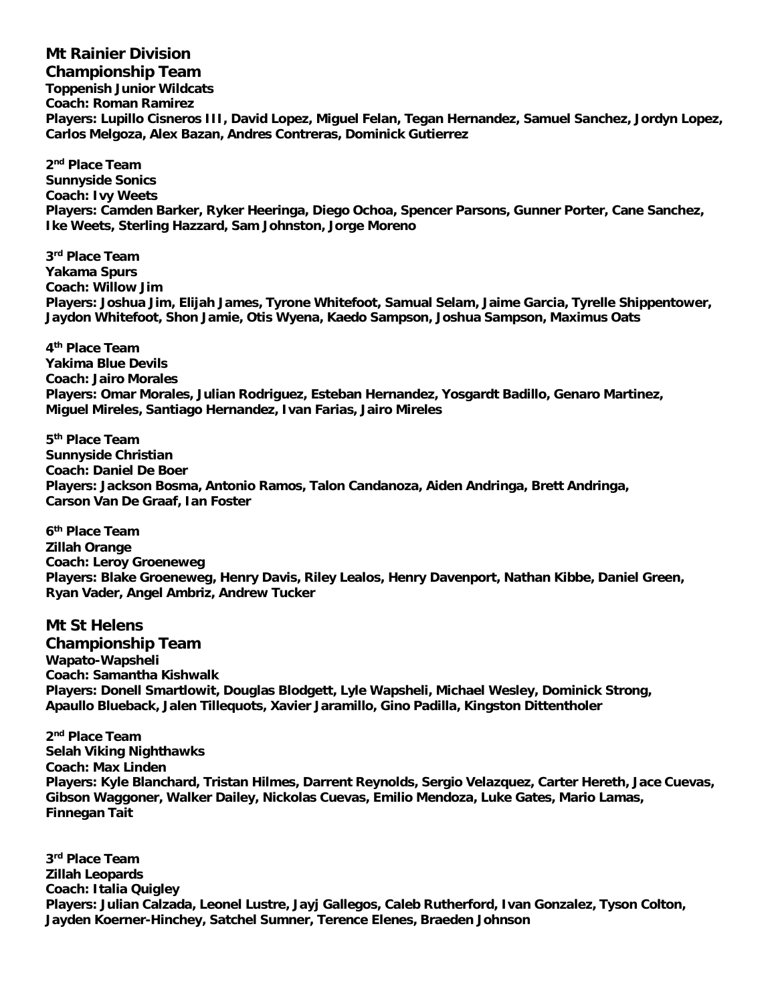**Mt Rainier Division Championship Team Toppenish Junior Wildcats Coach: Roman Ramirez Players: Lupillo Cisneros III, David Lopez, Miguel Felan, Tegan Hernandez, Samuel Sanchez, Jordyn Lopez, Carlos Melgoza, Alex Bazan, Andres Contreras, Dominick Gutierrez**

**2 nd Place Team Sunnyside Sonics Coach: Ivy Weets Players: Camden Barker, Ryker Heeringa, Diego Ochoa, Spencer Parsons, Gunner Porter, Cane Sanchez, Ike Weets, Sterling Hazzard, Sam Johnston, Jorge Moreno**

**3 rd Place Team Yakama Spurs Coach: Willow Jim Players: Joshua Jim, Elijah James, Tyrone Whitefoot, Samual Selam, Jaime Garcia, Tyrelle Shippentower, Jaydon Whitefoot, Shon Jamie, Otis Wyena, Kaedo Sampson, Joshua Sampson, Maximus Oats**

**4 th Place Team Yakima Blue Devils Coach: Jairo Morales Players: Omar Morales, Julian Rodriguez, Esteban Hernandez, Yosgardt Badillo, Genaro Martinez, Miguel Mireles, Santiago Hernandez, Ivan Farias, Jairo Mireles**

**5 th Place Team Sunnyside Christian Coach: Daniel De Boer Players: Jackson Bosma, Antonio Ramos, Talon Candanoza, Aiden Andringa, Brett Andringa, Carson Van De Graaf, Ian Foster**

**6 th Place Team Zillah Orange Coach: Leroy Groeneweg Players: Blake Groeneweg, Henry Davis, Riley Lealos, Henry Davenport, Nathan Kibbe, Daniel Green, Ryan Vader, Angel Ambriz, Andrew Tucker**

**Mt St Helens Championship Team Wapato-Wapsheli Coach: Samantha Kishwalk Players: Donell Smartlowit, Douglas Blodgett, Lyle Wapsheli, Michael Wesley, Dominick Strong, Apaullo Blueback, Jalen Tillequots, Xavier Jaramillo, Gino Padilla, Kingston Dittentholer**

**2 nd Place Team Selah Viking Nighthawks Coach: Max Linden Players: Kyle Blanchard, Tristan Hilmes, Darrent Reynolds, Sergio Velazquez, Carter Hereth, Jace Cuevas, Gibson Waggoner, Walker Dailey, Nickolas Cuevas, Emilio Mendoza, Luke Gates, Mario Lamas, Finnegan Tait**

**3 rd Place Team Zillah Leopards Coach: Italia Quigley Players: Julian Calzada, Leonel Lustre, Jayj Gallegos, Caleb Rutherford, Ivan Gonzalez, Tyson Colton, Jayden Koerner-Hinchey, Satchel Sumner, Terence Elenes, Braeden Johnson**